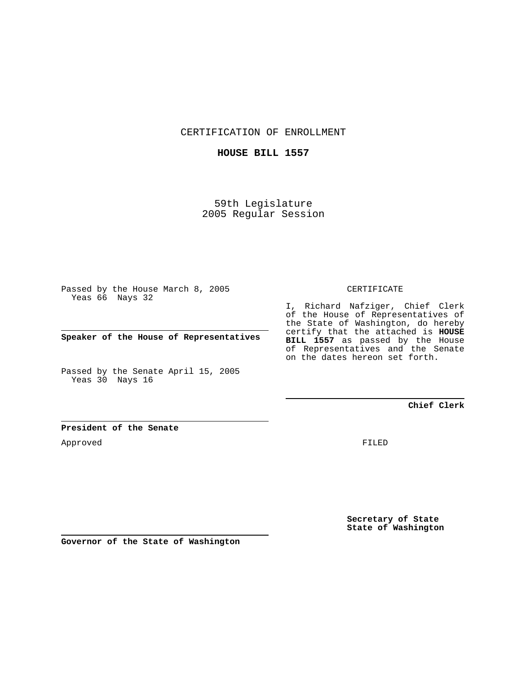CERTIFICATION OF ENROLLMENT

### **HOUSE BILL 1557**

59th Legislature 2005 Regular Session

Passed by the House March 8, 2005 Yeas 66 Nays 32

**Speaker of the House of Representatives**

Passed by the Senate April 15, 2005 Yeas 30 Nays 16

### CERTIFICATE

I, Richard Nafziger, Chief Clerk of the House of Representatives of the State of Washington, do hereby certify that the attached is **HOUSE BILL 1557** as passed by the House of Representatives and the Senate on the dates hereon set forth.

## **Chief Clerk**

### **President of the Senate**

Approved

FILED

**Secretary of State State of Washington**

**Governor of the State of Washington**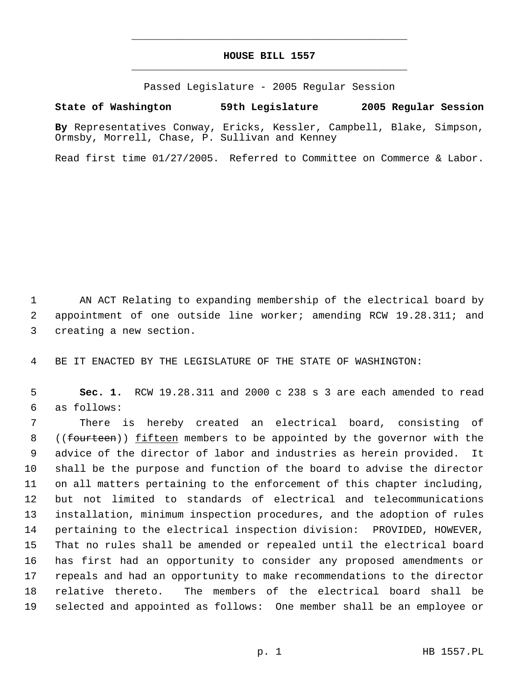# **HOUSE BILL 1557** \_\_\_\_\_\_\_\_\_\_\_\_\_\_\_\_\_\_\_\_\_\_\_\_\_\_\_\_\_\_\_\_\_\_\_\_\_\_\_\_\_\_\_\_\_

\_\_\_\_\_\_\_\_\_\_\_\_\_\_\_\_\_\_\_\_\_\_\_\_\_\_\_\_\_\_\_\_\_\_\_\_\_\_\_\_\_\_\_\_\_

Passed Legislature - 2005 Regular Session

**State of Washington 59th Legislature 2005 Regular Session**

**By** Representatives Conway, Ericks, Kessler, Campbell, Blake, Simpson, Ormsby, Morrell, Chase, P. Sullivan and Kenney

Read first time 01/27/2005. Referred to Committee on Commerce & Labor.

 AN ACT Relating to expanding membership of the electrical board by appointment of one outside line worker; amending RCW 19.28.311; and creating a new section.

BE IT ENACTED BY THE LEGISLATURE OF THE STATE OF WASHINGTON:

 **Sec. 1.** RCW 19.28.311 and 2000 c 238 s 3 are each amended to read as follows:

 There is hereby created an electrical board, consisting of 8 ((fourteen)) fifteen members to be appointed by the governor with the advice of the director of labor and industries as herein provided. It shall be the purpose and function of the board to advise the director on all matters pertaining to the enforcement of this chapter including, but not limited to standards of electrical and telecommunications installation, minimum inspection procedures, and the adoption of rules pertaining to the electrical inspection division: PROVIDED, HOWEVER, That no rules shall be amended or repealed until the electrical board has first had an opportunity to consider any proposed amendments or repeals and had an opportunity to make recommendations to the director relative thereto. The members of the electrical board shall be selected and appointed as follows: One member shall be an employee or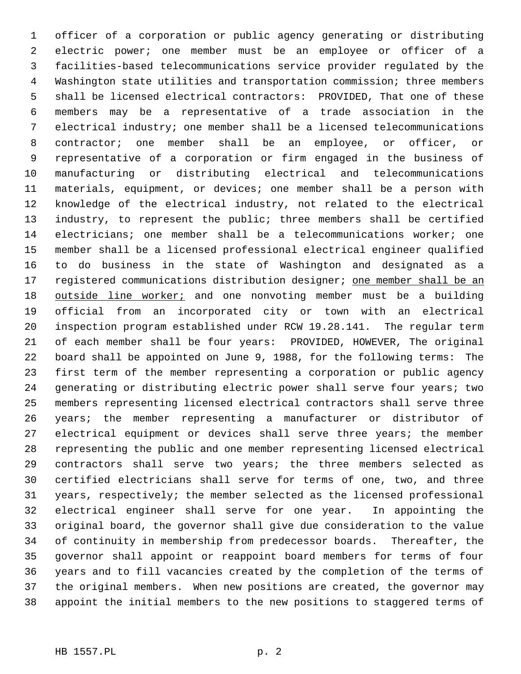officer of a corporation or public agency generating or distributing electric power; one member must be an employee or officer of a facilities-based telecommunications service provider regulated by the Washington state utilities and transportation commission; three members shall be licensed electrical contractors: PROVIDED, That one of these members may be a representative of a trade association in the electrical industry; one member shall be a licensed telecommunications contractor; one member shall be an employee, or officer, or representative of a corporation or firm engaged in the business of manufacturing or distributing electrical and telecommunications materials, equipment, or devices; one member shall be a person with knowledge of the electrical industry, not related to the electrical industry, to represent the public; three members shall be certified electricians; one member shall be a telecommunications worker; one member shall be a licensed professional electrical engineer qualified to do business in the state of Washington and designated as a 17 registered communications distribution designer; one member shall be an 18 outside line worker; and one nonvoting member must be a building official from an incorporated city or town with an electrical inspection program established under RCW 19.28.141. The regular term of each member shall be four years: PROVIDED, HOWEVER, The original board shall be appointed on June 9, 1988, for the following terms: The first term of the member representing a corporation or public agency generating or distributing electric power shall serve four years; two members representing licensed electrical contractors shall serve three years; the member representing a manufacturer or distributor of electrical equipment or devices shall serve three years; the member representing the public and one member representing licensed electrical contractors shall serve two years; the three members selected as certified electricians shall serve for terms of one, two, and three years, respectively; the member selected as the licensed professional electrical engineer shall serve for one year. In appointing the original board, the governor shall give due consideration to the value of continuity in membership from predecessor boards. Thereafter, the governor shall appoint or reappoint board members for terms of four years and to fill vacancies created by the completion of the terms of the original members. When new positions are created, the governor may appoint the initial members to the new positions to staggered terms of